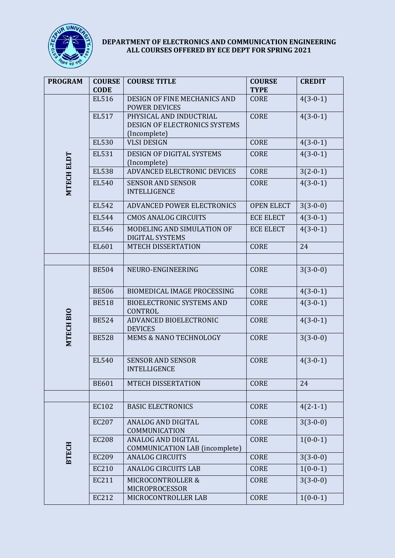

## **DEPARTMENT OF ELECTRONICS AND COMMUNICATION ENGINEERING ALL COURSES OFFERED BY ECE DEPT FOR SPRING 2021**

| <b>PROGRAM</b>    | <b>COURSE</b> | <b>COURSE TITLE</b>                                                | <b>COURSE</b>     | <b>CREDIT</b> |
|-------------------|---------------|--------------------------------------------------------------------|-------------------|---------------|
|                   | <b>CODE</b>   |                                                                    | <b>TYPE</b>       |               |
| <b>MTECH ELDT</b> | EL516         | <b>DESIGN OF FINE MECHANICS AND</b><br><b>POWER DEVICES</b>        | <b>CORE</b>       | $4(3-0-1)$    |
|                   | EL517         | PHYSICAL AND INDUCTRIAL<br>DESIGN OF ELECTRONICS SYSTEMS           | <b>CORE</b>       | $4(3-0-1)$    |
|                   |               | (Incomplete)                                                       |                   |               |
|                   | <b>EL530</b>  | <b>VLSI DESIGN</b>                                                 | <b>CORE</b>       | $4(3-0-1)$    |
|                   | EL531         | DESIGN OF DIGITAL SYSTEMS<br>(Incomplete)                          | <b>CORE</b>       | $4(3-0-1)$    |
|                   | <b>EL538</b>  | <b>ADVANCED ELECTRONIC DEVICES</b>                                 | <b>CORE</b>       | $3(2-0-1)$    |
|                   | <b>EL540</b>  | <b>SENSOR AND SENSOR</b><br><b>INTELLIGENCE</b>                    | <b>CORE</b>       | $4(3-0-1)$    |
|                   | EL542         | <b>ADVANCED POWER ELECTRONICS</b>                                  | <b>OPEN ELECT</b> | $3(3-0-0)$    |
|                   | <b>EL544</b>  | <b>CMOS ANALOG CIRCUITS</b>                                        | <b>ECE ELECT</b>  | $4(3-0-1)$    |
|                   | <b>EL546</b>  | MODELING AND SIMULATION OF<br><b>DIGITAL SYSTEMS</b>               | <b>ECE ELECT</b>  | $4(3-0-1)$    |
|                   | EL601         | MTECH DISSERTATION                                                 | <b>CORE</b>       | 24            |
|                   |               |                                                                    |                   |               |
| MTECH BIO         | <b>BE504</b>  | NEURO-ENGINEERING                                                  | <b>CORE</b>       | $3(3-0-0)$    |
|                   | <b>BE506</b>  | <b>BIOMEDICAL IMAGE PROCESSING</b>                                 | <b>CORE</b>       | $4(3-0-1)$    |
|                   | <b>BE518</b>  | <b>BIOELECTRONIC SYSTEMS AND</b><br>CONTROL                        | <b>CORE</b>       | $4(3-0-1)$    |
|                   | <b>BE524</b>  | ADVANCED BIOELECTRONIC<br><b>DEVICES</b>                           | <b>CORE</b>       | $4(3-0-1)$    |
|                   | <b>BE528</b>  | <b>MEMS &amp; NANO TECHNOLOGY</b>                                  | <b>CORE</b>       | $3(3-0-0)$    |
|                   | EL540         | <b>SENSOR AND SENSOR</b><br><b>INTELLIGENCE</b>                    | <b>CORE</b>       | $4(3-0-1)$    |
|                   | <b>BE601</b>  | <b>MTECH DISSERTATION</b>                                          | <b>CORE</b>       | 24            |
|                   |               |                                                                    |                   |               |
| <b>BTECH</b>      | EC102         | <b>BASIC ELECTRONICS</b>                                           | <b>CORE</b>       | $4(2-1-1)$    |
|                   | <b>EC207</b>  | <b>ANALOG AND DIGITAL</b><br>COMMUNICATION                         | <b>CORE</b>       | $3(3-0-0)$    |
|                   | <b>EC208</b>  | <b>ANALOG AND DIGITAL</b><br><b>COMMUNICATION LAB (incomplete)</b> | <b>CORE</b>       | $1(0-0-1)$    |
|                   | <b>EC209</b>  | <b>ANALOG CIRCUITS</b>                                             | <b>CORE</b>       | $3(3-0-0)$    |
|                   | <b>EC210</b>  | <b>ANALOG CIRCUITS LAB</b>                                         | <b>CORE</b>       | $1(0-0-1)$    |
|                   | EC211         | MICROCONTROLLER &<br>MICROPROCESSOR                                | <b>CORE</b>       | $3(3-0-0)$    |
|                   | EC212         | MICROCONTROLLER LAB                                                | <b>CORE</b>       | $1(0-0-1)$    |